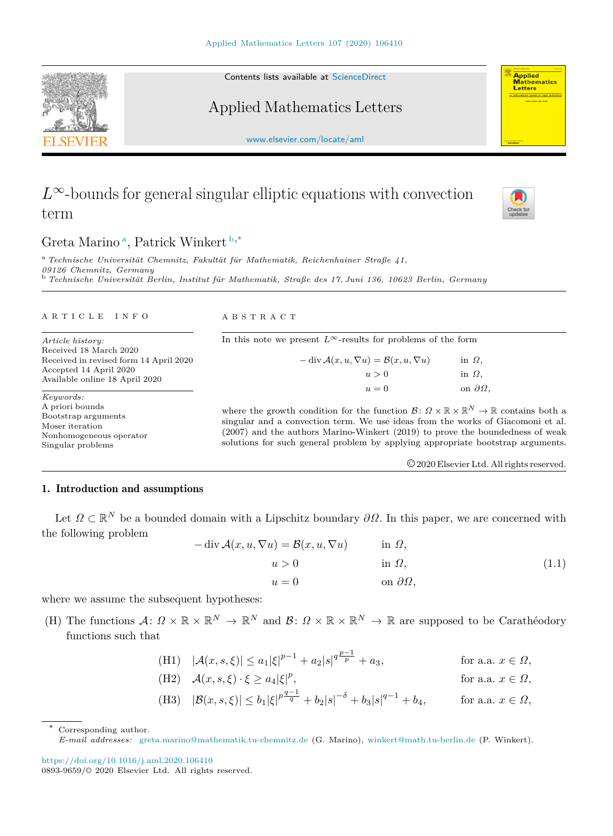Contents lists available at [ScienceDirect](http://www.elsevier.com/locate/aml)

## Applied Mathematics Letters

[www.elsevier.com/locate/aml](http://www.elsevier.com/locate/aml)

# $L^{\infty}$ -bounds for general singular elliptic equations with convection term

### Gret[a](#page-0-0) Marino<sup>a</sup>, Patrick Winkert [b](#page-0-1),\*

<span id="page-0-1"></span><span id="page-0-0"></span><sup>a</sup> *Technische Universität Chemnitz, Fakultät für Mathematik, Reichenhainer Straße 41, 09126 Chemnitz, Germany* <sup>b</sup> *Technische Universität Berlin, Institut für Mathematik, Straße des 17. Juni 136, 10623 Berlin, Germany*

#### a r t i c l e i n f o

*Article history:* Received 18 March 2020 Received in revised form 14 April 2020 Accepted 14 April 2020 Available online 18 April 2020

*Keywords:* A priori bounds Bootstrap arguments Moser iteration Nonhomogeneous operator Singular problems

A B S T R A C T

 $-\text{div }\mathcal{A}(x, u, \nabla u) = \mathcal{B}(x, u, \nabla u)$  in  $\Omega$ ,  $u > 0$  in  $\Omega$ ,  $u = 0$  on  $\partial\Omega$ *,* where the growth condition for the function  $\mathcal{B}: \Omega \times \mathbb{R} \times \mathbb{R}^N \to \mathbb{R}$  contains both a

In this note we present  $L^{\infty}$ -results for problems of the form

singular and a convection term. We use ideas from the works of Giacomoni et al. (2007) and the authors Marino-Winkert (2019) to prove the boundedness of weak solutions for such general problem by applying appropriate bootstrap arguments.

<span id="page-0-3"></span>©2020 Elsevier Ltd. All rights reserved.

### 1. Introduction and assumptions

Let  $\Omega \subset \mathbb{R}^N$  be a bounded domain with a Lipschitz boundary  $\partial \Omega$ . In this paper, we are concerned with the following problem

$$
-\operatorname{div} \mathcal{A}(x, u, \nabla u) = \mathcal{B}(x, u, \nabla u) \quad \text{in } \Omega,
$$
  
\n
$$
u > 0 \quad \text{in } \Omega,
$$
  
\n
$$
u = 0 \quad \text{on } \partial \Omega,
$$
\n(1.1)

where we assume the subsequent hypotheses:

(H) The functions  $A: \Omega \times \mathbb{R} \times \mathbb{R}^N \to \mathbb{R}^N$  and  $\mathcal{B}: \Omega \times \mathbb{R} \times \mathbb{R}^N \to \mathbb{R}$  are supposed to be Carathéodory functions such that

(H1) 
$$
|\mathcal{A}(x, s, \xi)| \le a_1 |\xi|^{p-1} + a_2 |s|^{\frac{p-1}{p}} + a_3
$$
, for a.a.  $x \in \Omega$ ,

(H2) 
$$
\mathcal{A}(x, s, \xi) \cdot \xi \ge a_4 |\xi|^p
$$
, for a.a.  $x \in \Omega$ ,

(H3) 
$$
|\mathcal{B}(x, s, \xi)| \le b_1 |\xi|^{p \frac{q-1}{q}} + b_2 |s|^{-\delta} + b_3 |s|^{q-1} + b_4
$$
, for a.a.  $x \in \Omega$ ,

Corresponding author.







<span id="page-0-2"></span>*E-mail addresses:* [greta.marino@mathematik.tu-chemnitz.de](mailto:greta.marino@mathematik.tu-chemnitz.de) (G. Marino), [winkert@math.tu-berlin.de](mailto:winkert@math.tu-berlin.de) (P. Winkert).

<https://doi.org/10.1016/j.aml.2020.106410> 0893-9659/© 2020 Elsevier Ltd. All rights reserved.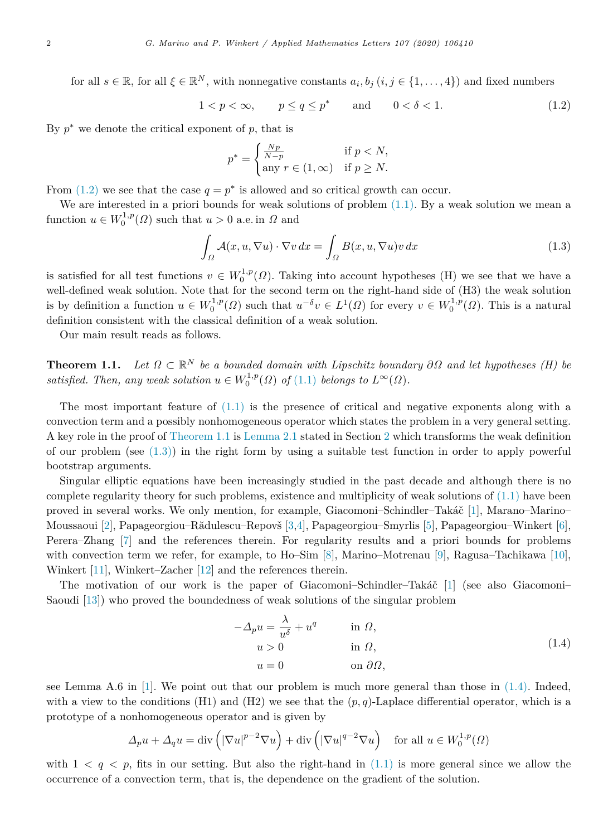for all  $s \in \mathbb{R}$ , for all  $\xi \in \mathbb{R}^N$ , with nonnegative constants  $a_i, b_j$   $(i, j \in \{1, ..., 4\})$  and fixed numbers

 $1 < p < \infty$ ,  $p \le q \le p^*$  and  $0 < \delta < 1$ . (1.2)

By  $p^*$  we denote the critical exponent of  $p$ , that is

<span id="page-1-2"></span><span id="page-1-0"></span>
$$
p^* = \begin{cases} \frac{Np}{N-p} & \text{if } p < N, \\ \text{any } r \in (1, \infty) & \text{if } p \ge N. \end{cases}
$$

From  $(1.2)$  we see that the case  $q = p^*$  is allowed and so critical growth can occur.

We are interested in a priori bounds for weak solutions of problem  $(1.1)$  $(1.1)$ . By a weak solution we mean a function  $u \in W_0^{1,p}(\Omega)$  such that  $u > 0$  a.e. in  $\Omega$  and

$$
\int_{\Omega} \mathcal{A}(x, u, \nabla u) \cdot \nabla v \, dx = \int_{\Omega} B(x, u, \nabla u) v \, dx \tag{1.3}
$$

is satisfied for all test functions  $v \in W_0^{1,p}(\Omega)$ . Taking into account hypotheses (H) we see that we have a well-defined weak solution. Note that for the second term on the right-hand side of (H3) the weak solution is by definition a function  $u \in W_0^{1,p}(\Omega)$  such that  $u^{-\delta}v \in L^1(\Omega)$  for every  $v \in W_0^{1,p}(\Omega)$ . This is a natural definition consistent with the classical definition of a weak solution.

<span id="page-1-1"></span>Our main result reads as follows.

**Theorem 1.1.** *Let*  $\Omega \subset \mathbb{R}^N$  *be a bounded domain with Lipschitz boundary*  $\partial \Omega$  *and let hypotheses* (*H*) *be satisfied. Then, any weak solution*  $u \in W_0^{1,p}(\Omega)$  *of*  $(1.1)$  $(1.1)$  *belongs to*  $L^{\infty}(\Omega)$ *.* 

The most important feature of ([1.1](#page-0-3)) is the presence of critical and negative exponents along with a convection term and a possibly nonhomogeneous operator which states the problem in a very general setting. A key role in the proof of [Theorem](#page-1-1) [1.1](#page-1-1) is [Lemma](#page-2-0) [2.1](#page-2-0) stated in Section [2](#page-2-1) which transforms the weak definition of our problem (see  $(1.3)$ ) in the right form by using a suitable test function in order to apply powerful bootstrap arguments.

Singular elliptic equations have been increasingly studied in the past decade and although there is no complete regularity theory for such problems, existence and multiplicity of weak solutions of  $(1.1)$  $(1.1)$  have been proved in several works. We only mention, for example, Giacomoni–Schindler–Takáč [[1\]](#page-5-0), Marano–Marino– Moussaoui [[2](#page-5-1)], Papageorgiou–Rădulescu–Repovš [[3,](#page-5-2)[4\]](#page-5-3), Papageorgiou–Smyrlis [\[5](#page-5-4)], Papageorgiou–Winkert [[6\]](#page-5-5), Perera–Zhang [[7\]](#page-5-6) and the references therein. For regularity results and a priori bounds for problems with convection term we refer, for example, to Ho–Sim [[8\]](#page-5-7), Marino–Motrenau [[9\]](#page-5-8), Ragusa–Tachikawa [[10\]](#page-5-9), Winkert [[11\]](#page-5-10), Winkert–Zacher [[12\]](#page-5-11) and the references therein.

The motivation of our work is the paper of Giacomoni–Schindler–Takáč  $[1]$  $[1]$  (see also Giacomoni– Saoudi [[13](#page-5-12)]) who proved the boundedness of weak solutions of the singular problem

<span id="page-1-3"></span>
$$
-\Delta_p u = \frac{\lambda}{u^{\delta}} + u^q \qquad \text{in } \Omega,
$$
  
\n
$$
u > 0 \qquad \text{in } \Omega,
$$
  
\n
$$
u = 0 \qquad \text{on } \partial\Omega,
$$
\n(1.4)

see Lemma A.6 in [[1\]](#page-5-0). We point out that our problem is much more general than those in ([1.4\)](#page-1-3). Indeed, with a view to the conditions (H1) and (H2) we see that the  $(p, q)$ -Laplace differential operator, which is a prototype of a nonhomogeneous operator and is given by

$$
\Delta_p u + \Delta_q u = \text{div}\left(|\nabla u|^{p-2} \nabla u\right) + \text{div}\left(|\nabla u|^{q-2} \nabla u\right) \quad \text{for all } u \in W_0^{1,p}(\Omega)
$$

with  $1 < q < p$ , fits in our setting. But also the right-hand in  $(1.1)$  $(1.1)$  is more general since we allow the occurrence of a convection term, that is, the dependence on the gradient of the solution.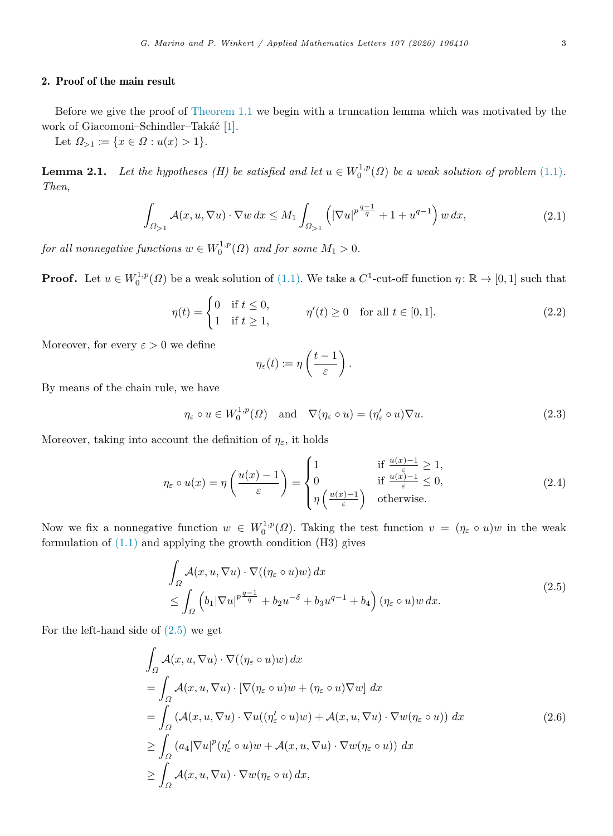#### 2. Proof of the main result

<span id="page-2-1"></span>Before we give the proof of [Theorem](#page-1-1) [1.1](#page-1-1) we begin with a truncation lemma which was motivated by the work of Giacomoni–Schindler–Takáč [\[1](#page-5-0)].

Let  $\Omega_{\geq 1} := \{x \in \Omega : u(x) > 1\}.$ 

<span id="page-2-0"></span>**Lemma 2.1.** *Let the hypotheses (H) be satisfied and let*  $u \in W_0^{1,p}(\Omega)$  *be a weak solution of problem* [\(1.1](#page-0-3))*. Then,*

$$
\int_{\Omega_{>1}} \mathcal{A}(x, u, \nabla u) \cdot \nabla w \, dx \le M_1 \int_{\Omega_{>1}} \left( |\nabla u|^{p \frac{q-1}{q}} + 1 + u^{q-1} \right) w \, dx,\tag{2.1}
$$

*for all nonnegative functions*  $w \in W_0^{1,p}(\Omega)$  *and for some*  $M_1 > 0$ *.* 

**Proof.** Let  $u \in W_0^{1,p}(\Omega)$  be a weak solution of ([1.1\)](#page-0-3). We take a  $C^1$ -cut-off function  $\eta: \mathbb{R} \to [0,1]$  such that

$$
\eta(t) = \begin{cases} 0 & \text{if } t \le 0, \\ 1 & \text{if } t \ge 1, \end{cases} \qquad \eta'(t) \ge 0 \quad \text{for all } t \in [0, 1]. \tag{2.2}
$$

Moreover, for every  $\varepsilon > 0$  we define

<span id="page-2-7"></span><span id="page-2-5"></span><span id="page-2-4"></span><span id="page-2-3"></span><span id="page-2-2"></span>
$$
\eta_{\varepsilon}(t) := \eta\left(\frac{t-1}{\varepsilon}\right).
$$

By means of the chain rule, we have

$$
\eta_{\varepsilon} \circ u \in W_0^{1,p}(\Omega) \quad \text{and} \quad \nabla(\eta_{\varepsilon} \circ u) = (\eta_{\varepsilon}' \circ u) \nabla u. \tag{2.3}
$$

Moreover, taking into account the definition of  $\eta_{\varepsilon}$ , it holds

$$
\eta_{\varepsilon} \circ u(x) = \eta \left( \frac{u(x) - 1}{\varepsilon} \right) = \begin{cases} 1 & \text{if } \frac{u(x) - 1}{\varepsilon} \ge 1, \\ 0 & \text{if } \frac{u(x) - 1}{\varepsilon} \le 0, \\ \eta \left( \frac{u(x) - 1}{\varepsilon} \right) & \text{otherwise.} \end{cases}
$$
(2.4)

Now we fix a nonnegative function  $w \in W_0^{1,p}(\Omega)$ . Taking the test function  $v = (\eta_{\varepsilon} \circ u)w$  in the weak formulation of  $(1.1)$  $(1.1)$  and applying the growth condition  $(H3)$  gives

$$
\int_{\Omega} \mathcal{A}(x, u, \nabla u) \cdot \nabla ((\eta_{\varepsilon} \circ u)w) dx
$$
\n
$$
\leq \int_{\Omega} \left( b_{1} |\nabla u|^{p \frac{q-1}{q}} + b_{2} u^{-\delta} + b_{3} u^{q-1} + b_{4} \right) (\eta_{\varepsilon} \circ u) w dx.
$$
\n(2.5)

For the left-hand side of ([2.5](#page-2-2)) we get

<span id="page-2-6"></span>
$$
\int_{\Omega} \mathcal{A}(x, u, \nabla u) \cdot \nabla ((\eta_{\varepsilon} \circ u) w) dx
$$
\n
$$
= \int_{\Omega} \mathcal{A}(x, u, \nabla u) \cdot [\nabla (\eta_{\varepsilon} \circ u) w + (\eta_{\varepsilon} \circ u) \nabla w] dx
$$
\n
$$
= \int_{\Omega} (\mathcal{A}(x, u, \nabla u) \cdot \nabla u ((\eta_{\varepsilon}' \circ u) w) + \mathcal{A}(x, u, \nabla u) \cdot \nabla w (\eta_{\varepsilon} \circ u)) dx
$$
\n
$$
\geq \int_{\Omega} (a_{4} |\nabla u|^{p} (\eta_{\varepsilon}' \circ u) w + \mathcal{A}(x, u, \nabla u) \cdot \nabla w (\eta_{\varepsilon} \circ u)) dx
$$
\n
$$
\geq \int_{\Omega} \mathcal{A}(x, u, \nabla u) \cdot \nabla w (\eta_{\varepsilon} \circ u) dx,
$$
\n(2.6)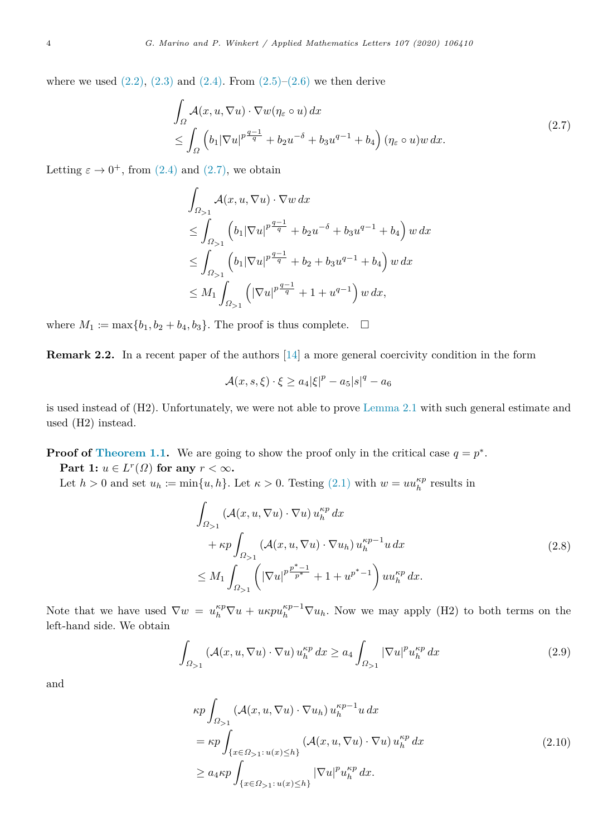where we used  $(2.2)$ ,  $(2.3)$  $(2.3)$  $(2.3)$  and  $(2.4)$  $(2.4)$ . From  $(2.5)-(2.6)$  $(2.5)-(2.6)$  $(2.5)-(2.6)$  $(2.5)-(2.6)$  we then derive

$$
\int_{\Omega} \mathcal{A}(x, u, \nabla u) \cdot \nabla w (\eta_{\varepsilon} \circ u) dx
$$
\n
$$
\leq \int_{\Omega} \left( b_1 |\nabla u|^{p \frac{q-1}{q}} + b_2 u^{-\delta} + b_3 u^{q-1} + b_4 \right) (\eta_{\varepsilon} \circ u) w dx.
$$
\n(2.7)

Letting  $\varepsilon \to 0^+$ , from [\(2.4](#page-2-5)) and ([2.7](#page-3-0)), we obtain

<span id="page-3-0"></span>
$$
\int_{\Omega_{>1}} \mathcal{A}(x, u, \nabla u) \cdot \nabla w \, dx
$$
\n
$$
\leq \int_{\Omega_{>1}} \left( b_1 |\nabla u|^{p} \frac{q-1}{q} + b_2 u^{-\delta} + b_3 u^{q-1} + b_4 \right) w \, dx
$$
\n
$$
\leq \int_{\Omega_{>1}} \left( b_1 |\nabla u|^{p} \frac{q-1}{q} + b_2 + b_3 u^{q-1} + b_4 \right) w \, dx
$$
\n
$$
\leq M_1 \int_{\Omega_{>1}} \left( |\nabla u|^{p} \frac{q-1}{q} + 1 + u^{q-1} \right) w \, dx,
$$

where  $M_1 := \max\{b_1, b_2 + b_4, b_3\}$ . The proof is thus complete.  $\Box$ 

**Remark 2.2.** In a recent paper of the authors [\[14](#page-5-13)] a more general coercivity condition in the form

$$
\mathcal{A}(x,s,\xi)\cdot \xi \geq a_4 |\xi|^p - a_5 |s|^q - a_6
$$

is used instead of (H2). Unfortunately, we were not able to prove [Lemma](#page-2-0) [2.1](#page-2-0) with such general estimate and used (H2) instead.

**Proof of [Theorem](#page-1-1) [1.1.](#page-1-1)** We are going to show the proof only in the critical case  $q = p^*$ .

**Part 1:**  $u \in L^r(\Omega)$  for any  $r < \infty$ .

Let  $h > 0$  and set  $u_h := \min\{u, h\}$ . Let  $\kappa > 0$ . Testing [\(2.1\)](#page-2-7) with  $w = uu_h^{\kappa p}$  results in

<span id="page-3-1"></span>
$$
\int_{\Omega_{>1}} \left( \mathcal{A}(x, u, \nabla u) \cdot \nabla u \right) u_h^{\kappa p} dx \n+ \kappa p \int_{\Omega_{>1}} \left( \mathcal{A}(x, u, \nabla u) \cdot \nabla u_h \right) u_h^{\kappa p-1} u dx \n\leq M_1 \int_{\Omega_{>1}} \left( \left| \nabla u \right|^{p \frac{p^* - 1}{p^*}} + 1 + u^{p^* - 1} \right) u u_h^{\kappa p} dx.
$$
\n(2.8)

Note that we have used  $\nabla w = u_h^{kp} \nabla u + u_k p u_h^{kp-1} \nabla u_h$ . Now we may apply (H2) to both terms on the left-hand side. We obtain

$$
\int_{\Omega_{>1}} \left( \mathcal{A}(x, u, \nabla u) \cdot \nabla u \right) u_h^{\kappa p} dx \ge a_4 \int_{\Omega_{>1}} |\nabla u|^p u_h^{\kappa p} dx \tag{2.9}
$$

and

<span id="page-3-3"></span><span id="page-3-2"></span>
$$
\kappa p \int_{\Omega_{\geq 1}} (\mathcal{A}(x, u, \nabla u) \cdot \nabla u_h) u_h^{\kappa p-1} u \, dx
$$
  
\n
$$
= \kappa p \int_{\{x \in \Omega_{\geq 1}: u(x) \leq h\}} (\mathcal{A}(x, u, \nabla u) \cdot \nabla u) u_h^{\kappa p} \, dx
$$
  
\n
$$
\geq a_4 \kappa p \int_{\{x \in \Omega_{\geq 1}: u(x) \leq h\}} |\nabla u|^p u_h^{\kappa p} \, dx.
$$
\n(2.10)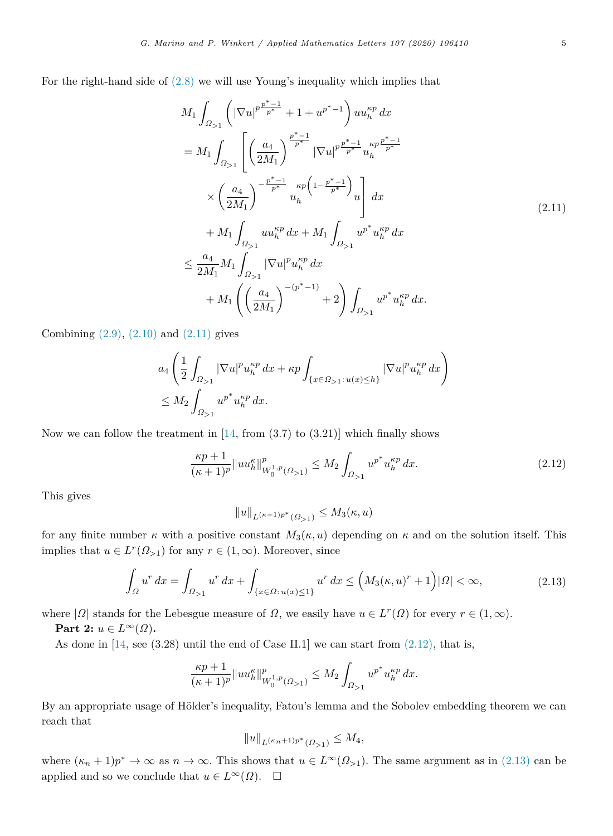For the right-hand side of [\(2.8\)](#page-3-1) we will use Young's inequality which implies that

<span id="page-4-0"></span>
$$
M_{1} \int_{\Omega_{>1}} \left( |\nabla u|^{p} \frac{p^{*}-1}{p^{*}} + 1 + u^{p^{*}-1} \right) u u_{h}^{\kappa p} dx
$$
  
\n
$$
= M_{1} \int_{\Omega_{>1}} \left[ \left( \frac{a_{4}}{2M_{1}} \right)^{\frac{p^{*}-1}{p^{*}}} |\nabla u|^{p} \frac{p^{*}-1}{p^{*}} u_{h}^{\kappa p} \frac{p^{*}-1}{p^{*}} \right] \times \left( \frac{a_{4}}{2M_{1}} \right)^{-\frac{p^{*}-1}{p^{*}}} u_{h}^{\kappa p} \left( 1 - \frac{p^{*}-1}{p^{*}} \right) u \right] dx
$$
  
\n
$$
\leq \frac{a_{4}}{2M_{1}} M_{1} \int_{\Omega_{>1}} u u_{h}^{\kappa p} dx + M_{1} \int_{\Omega_{>1}} u^{p^{*}} u_{h}^{\kappa p} dx
$$
  
\n
$$
\leq \frac{a_{4}}{2M_{1}} M_{1} \int_{\Omega_{>1}} |\nabla u|^{p} u_{h}^{\kappa p} dx
$$
  
\n
$$
+ M_{1} \left( \left( \frac{a_{4}}{2M_{1}} \right)^{-(p^{*}-1)} + 2 \right) \int_{\Omega_{>1}} u^{p^{*}} u_{h}^{\kappa p} dx.
$$
\n(2.11)

Combining  $(2.9)$  $(2.9)$ ,  $(2.10)$  $(2.10)$  and  $(2.11)$  gives

$$
a_4 \left( \frac{1}{2} \int_{\Omega_{>1}} |\nabla u|^p u_h^{\kappa p} dx + \kappa p \int_{\{x \in \Omega_{>1}: u(x) \le h\}} |\nabla u|^p u_h^{\kappa p} dx \right)
$$
  

$$
\le M_2 \int_{\Omega_{>1}} u^{p^*} u_h^{\kappa p} dx.
$$

Now we can follow the treatment in  $[14, \text{ from } (3.7) \text{ to } (3.21)]$  $[14, \text{ from } (3.7) \text{ to } (3.21)]$  which finally shows

$$
\frac{\kappa p+1}{(\kappa+1)^p} \| u u_h^{\kappa} \|_{W_0^{1,p}(\Omega_{>1})}^p \le M_2 \int_{\Omega_{>1}} u^{p^*} u_h^{\kappa p} dx.
$$
\n(2.12)

This gives

<span id="page-4-2"></span><span id="page-4-1"></span>
$$
||u||_{L^{(\kappa+1)p^*}(\Omega>1)} \leq M_3(\kappa, u)
$$

for any finite number  $\kappa$  with a positive constant  $M_3(\kappa, u)$  depending on  $\kappa$  and on the solution itself. This implies that  $u \in L^r(\Omega_{>1})$  for any  $r \in (1,\infty)$ . Moreover, since

$$
\int_{\Omega} u^r dx = \int_{\Omega_{>1}} u^r dx + \int_{\{x \in \Omega : u(x) \le 1\}} u^r dx \le \left( M_3(\kappa, u)^r + 1 \right) |\Omega| < \infty,
$$
\n(2.13)

where  $|\Omega|$  stands for the Lebesgue measure of  $\Omega$ , we easily have  $u \in L^r(\Omega)$  for every  $r \in (1, \infty)$ .

**Part 2:**  $u \in L^{\infty}(\Omega)$ .

As done in  $[14, \text{see } (3.28)$  $[14, \text{see } (3.28)$  $[14, \text{see } (3.28)$  until the end of Case II.1] we can start from  $(2.12)$  $(2.12)$ , that is,

$$
\frac{\kappa p+1}{(\kappa+1)^p} \| u u^{\kappa}_h \|_{W_0^{1,p}(\Omega_{>1})}^p \le M_2 \int_{\Omega_{>1}} u^{p^*} u^{\kappa p}_h dx.
$$

By an appropriate usage of Hölder's inequality, Fatou's lemma and the Sobolev embedding theorem we can reach that

$$
||u||_{L^{(\kappa_n+1)p^*}(\Omega_{>1})} \le M_4,
$$

where  $(\kappa_n + 1)p^* \to \infty$  as  $n \to \infty$ . This shows that  $u \in L^{\infty}(\Omega_{>1})$ . The same argument as in [\(2.13](#page-4-2)) can be applied and so we conclude that  $u \in L^{\infty}(\Omega)$ .  $\square$